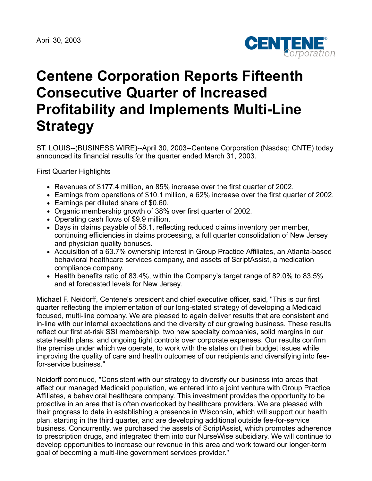

# **Centene Corporation Reports Fifteenth Consecutive Quarter of Increased Profitability and Implements Multi-Line Strategy**

ST. LOUIS--(BUSINESS WIRE)--April 30, 2003--Centene Corporation (Nasdaq: CNTE) today announced its financial results for the quarter ended March 31, 2003.

First Quarter Highlights

- Revenues of \$177.4 million, an 85% increase over the first quarter of 2002.
- Earnings from operations of \$10.1 million, a 62% increase over the first quarter of 2002.
- Earnings per diluted share of \$0.60.
- Organic membership growth of 38% over first quarter of 2002.
- Operating cash flows of \$9.9 million.
- Days in claims payable of 58.1, reflecting reduced claims inventory per member, continuing efficiencies in claims processing, a full quarter consolidation of New Jersey and physician quality bonuses.
- Acquisition of a 63.7% ownership interest in Group Practice Affiliates, an Atlanta-based behavioral healthcare services company, and assets of ScriptAssist, a medication compliance company.
- Health benefits ratio of 83.4%, within the Company's target range of 82.0% to 83.5% and at forecasted levels for New Jersey.

Michael F. Neidorff, Centene's president and chief executive officer, said, "This is our first quarter reflecting the implementation of our long-stated strategy of developing a Medicaid focused, multi-line company. We are pleased to again deliver results that are consistent and in-line with our internal expectations and the diversity of our growing business. These results reflect our first at-risk SSI membership, two new specialty companies, solid margins in our state health plans, and ongoing tight controls over corporate expenses. Our results confirm the premise under which we operate, to work with the states on their budget issues while improving the quality of care and health outcomes of our recipients and diversifying into feefor-service business."

Neidorff continued, "Consistent with our strategy to diversify our business into areas that affect our managed Medicaid population, we entered into a joint venture with Group Practice Affiliates, a behavioral healthcare company. This investment provides the opportunity to be proactive in an area that is often overlooked by healthcare providers. We are pleased with their progress to date in establishing a presence in Wisconsin, which will support our health plan, starting in the third quarter, and are developing additional outside fee-for-service business. Concurrently, we purchased the assets of ScriptAssist, which promotes adherence to prescription drugs, and integrated them into our NurseWise subsidiary. We will continue to develop opportunities to increase our revenue in this area and work toward our longer-term goal of becoming a multi-line government services provider."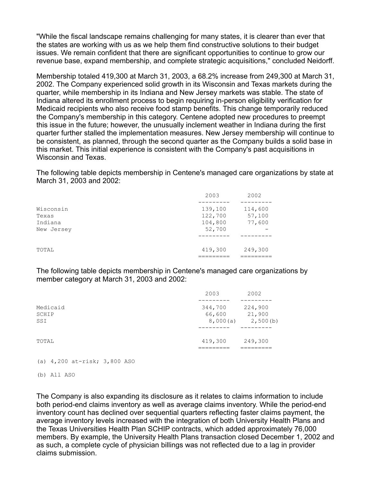"While the fiscal landscape remains challenging for many states, it is clearer than ever that the states are working with us as we help them find constructive solutions to their budget issues. We remain confident that there are significant opportunities to continue to grow our revenue base, expand membership, and complete strategic acquisitions," concluded Neidorff.

Membership totaled 419,300 at March 31, 2003, a 68.2% increase from 249,300 at March 31, 2002. The Company experienced solid growth in its Wisconsin and Texas markets during the quarter, while membership in its Indiana and New Jersey markets was stable. The state of Indiana altered its enrollment process to begin requiring in-person eligibility verification for Medicaid recipients who also receive food stamp benefits. This change temporarily reduced the Company's membership in this category. Centene adopted new procedures to preempt this issue in the future; however, the unusually inclement weather in Indiana during the first quarter further stalled the implementation measures. New Jersey membership will continue to be consistent, as planned, through the second quarter as the Company builds a solid base in this market. This initial experience is consistent with the Company's past acquisitions in Wisconsin and Texas.

The following table depicts membership in Centene's managed care organizations by state at March 31, 2003 and 2002:

|            | 2003    | 2002    |
|------------|---------|---------|
|            |         |         |
| Wisconsin  | 139,100 | 114,600 |
| Texas      | 122,700 | 57,100  |
| Indiana    | 104,800 | 77,600  |
| New Jersey | 52,700  |         |
|            |         |         |
| TOTAL      | 419,300 | 249,300 |
|            |         |         |

The following table depicts membership in Centene's managed care organizations by member category at March 31, 2003 and 2002:

|                          | 2003                          | 2002                          |
|--------------------------|-------------------------------|-------------------------------|
| Medicaid<br>SCHIP<br>SSI | 344,700<br>66,600<br>8,000(a) | 224,900<br>21,900<br>2,500(b) |
| TOTAL                    | 419,300                       | 249,300                       |

### (a) 4,200 at-risk; 3,800 ASO

(b) All ASO

The Company is also expanding its disclosure as it relates to claims information to include both period-end claims inventory as well as average claims inventory. While the period-end inventory count has declined over sequential quarters reflecting faster claims payment, the average inventory levels increased with the integration of both University Health Plans and the Texas Universities Health Plan SCHIP contracts, which added approximately 76,000 members. By example, the University Health Plans transaction closed December 1, 2002 and as such, a complete cycle of physician billings was not reflected due to a lag in provider claims submission.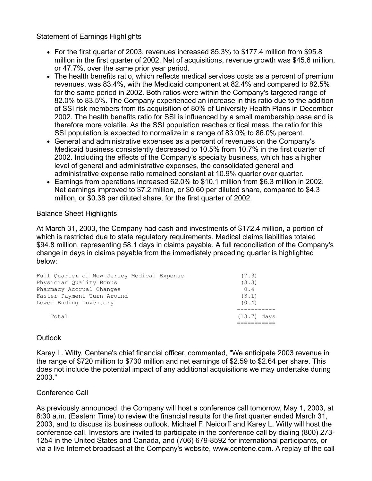Statement of Earnings Highlights

- For the first quarter of 2003, revenues increased 85.3% to \$177.4 million from \$95.8 million in the first quarter of 2002. Net of acquisitions, revenue growth was \$45.6 million, or 47.7%, over the same prior year period.
- The health benefits ratio, which reflects medical services costs as a percent of premium revenues, was 83.4%, with the Medicaid component at 82.4% and compared to 82.5% for the same period in 2002. Both ratios were within the Company's targeted range of 82.0% to 83.5%. The Company experienced an increase in this ratio due to the addition of SSI risk members from its acquisition of 80% of University Health Plans in December 2002. The health benefits ratio for SSI is influenced by a small membership base and is therefore more volatile. As the SSI population reaches critical mass, the ratio for this SSI population is expected to normalize in a range of 83.0% to 86.0% percent.
- General and administrative expenses as a percent of revenues on the Company's Medicaid business consistently decreased to 10.5% from 10.7% in the first quarter of 2002. Including the effects of the Company's specialty business, which has a higher level of general and administrative expenses, the consolidated general and administrative expense ratio remained constant at 10.9% quarter over quarter.
- Earnings from operations increased 62.0% to \$10.1 million from \$6.3 million in 2002. Net earnings improved to \$7.2 million, or \$0.60 per diluted share, compared to \$4.3 million, or \$0.38 per diluted share, for the first quarter of 2002.

# Balance Sheet Highlights

At March 31, 2003, the Company had cash and investments of \$172.4 million, a portion of which is restricted due to state regulatory requirements. Medical claims liabilities totaled \$94.8 million, representing 58.1 days in claims payable. A full reconciliation of the Company's change in days in claims payable from the immediately preceding quarter is highlighted below:

| Full Ouarter of New Jersey Medical Expense<br>Physician Quality Bonus<br>Pharmacy Accrual Changes<br>Faster Payment Turn-Around | (7.3)<br>(3.3)<br>0.4<br>(3.1) |
|---------------------------------------------------------------------------------------------------------------------------------|--------------------------------|
| Lower Ending Inventory                                                                                                          | (0.4)                          |
| Total                                                                                                                           | $(13.7)$ days                  |

## **Outlook**

Karey L. Witty, Centene's chief financial officer, commented, "We anticipate 2003 revenue in the range of \$720 million to \$730 million and net earnings of \$2.59 to \$2.64 per share. This does not include the potential impact of any additional acquisitions we may undertake during 2003."

## Conference Call

As previously announced, the Company will host a conference call tomorrow, May 1, 2003, at 8:30 a.m. (Eastern Time) to review the financial results for the first quarter ended March 31, 2003, and to discuss its business outlook. Michael F. Neidorff and Karey L. Witty will host the conference call. Investors are invited to participate in the conference call by dialing (800) 273- 1254 in the United States and Canada, and (706) 679-8592 for international participants, or via a live Internet broadcast at the Company's website, www.centene.com. A replay of the call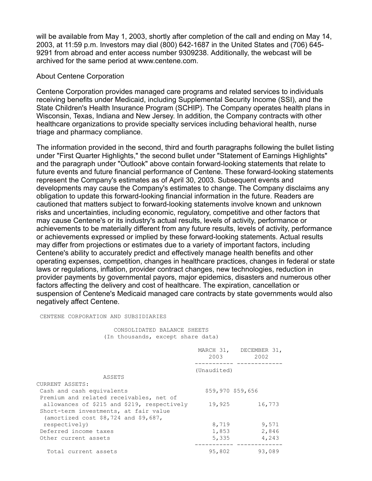will be available from May 1, 2003, shortly after completion of the call and ending on May 14, 2003, at 11:59 p.m. Investors may dial (800) 642-1687 in the United States and (706) 645- 9291 from abroad and enter access number 9309238. Additionally, the webcast will be archived for the same period at www.centene.com.

#### About Centene Corporation

Centene Corporation provides managed care programs and related services to individuals receiving benefits under Medicaid, including Supplemental Security Income (SSI), and the State Children's Health Insurance Program (SCHIP). The Company operates health plans in Wisconsin, Texas, Indiana and New Jersey. In addition, the Company contracts with other healthcare organizations to provide specialty services including behavioral health, nurse triage and pharmacy compliance.

The information provided in the second, third and fourth paragraphs following the bullet listing under "First Quarter Highlights," the second bullet under "Statement of Earnings Highlights" and the paragraph under "Outlook" above contain forward-looking statements that relate to future events and future financial performance of Centene. These forward-looking statements represent the Company's estimates as of April 30, 2003. Subsequent events and developments may cause the Company's estimates to change. The Company disclaims any obligation to update this forward-looking financial information in the future. Readers are cautioned that matters subject to forward-looking statements involve known and unknown risks and uncertainties, including economic, regulatory, competitive and other factors that may cause Centene's or its industry's actual results, levels of activity, performance or achievements to be materially different from any future results, levels of activity, performance or achievements expressed or implied by these forward-looking statements. Actual results may differ from projections or estimates due to a variety of important factors, including Centene's ability to accurately predict and effectively manage health benefits and other operating expenses, competition, changes in healthcare practices, changes in federal or state laws or regulations, inflation, provider contract changes, new technologies, reduction in provider payments by governmental payors, major epidemics, disasters and numerous other factors affecting the delivery and cost of healthcare. The expiration, cancellation or suspension of Centene's Medicaid managed care contracts by state governments would also negatively affect Centene.

CENTENE CORPORATION AND SUBSIDIARIES

 CONSOLIDATED BALANCE SHEETS (In thousands, except share data)

|                                             | 2003              | MARCH 31, DECEMBER 31,<br>2002 |
|---------------------------------------------|-------------------|--------------------------------|
|                                             | (Unaudited)       |                                |
| ASSETS                                      |                   |                                |
| CURRENT ASSETS:                             |                   |                                |
| Cash and cash equivalents                   | \$59,970 \$59,656 |                                |
| Premium and related receivables, net of     |                   |                                |
| allowances of \$215 and \$219, respectively | 19,925            | 16,773                         |
| Short-term investments, at fair value       |                   |                                |
| (amortized cost $$8,724$ and $$9,687$ ,     |                   |                                |
| respectively)                               | 8,719             | 9,571                          |
| Deferred income taxes                       | 1,853             | 2,846                          |
| Other current assets                        | 5,335             | 4,243                          |
| Total current assets                        | 95,802            | 93,089                         |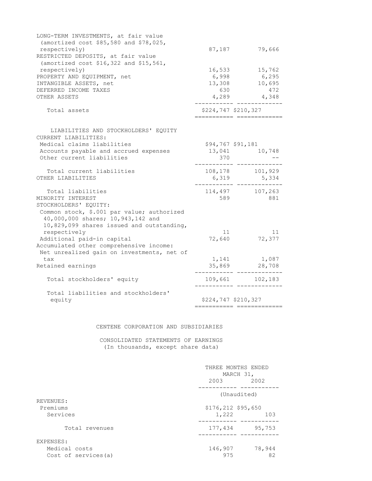| LONG-TERM INVESTMENTS, at fair value<br>(amortized cost \$85,580 and \$78,025, |              |                                                   |
|--------------------------------------------------------------------------------|--------------|---------------------------------------------------|
| respectively)                                                                  | 87,187       | 79,666                                            |
| RESTRICTED DEPOSITS, at fair value                                             |              |                                                   |
| (amortized cost \$16,322 and \$15,561,                                         |              |                                                   |
| respectively)                                                                  | 16,533       | 15,762                                            |
| PROPERTY AND EQUIPMENT, net                                                    | 6,998        | 6,295                                             |
| INTANGIBLE ASSETS, net                                                         |              | 13,308 10,695                                     |
| DEFERRED INCOME TAXES                                                          | 630          | 472                                               |
| OTHER ASSETS                                                                   |              | 4,289 4,348                                       |
| Total assets                                                                   |              | \$224,747 \$210,327                               |
| LIABILITIES AND STOCKHOLDERS' EQUITY                                           |              |                                                   |
| CURRENT LIABILITIES:                                                           |              |                                                   |
| Medical claims liabilities                                                     |              | \$94,767 \$91,181                                 |
| Accounts payable and accrued expenses                                          |              | 13,041 10,748                                     |
| Other current liabilities                                                      | 370          |                                                   |
| Total current liabilities                                                      |              | 108,178 101,929                                   |
| OTHER LIABILITIES                                                              |              | 6, 319 5, 334                                     |
| Total liabilities                                                              |              | 114,497 107,263                                   |
| MINORITY INTEREST                                                              | 589          | 881                                               |
| STOCKHOLDERS' EQUITY:                                                          |              |                                                   |
| Common stock, \$.001 par value; authorized                                     |              |                                                   |
| 40,000,000 shares; 10,943,142 and                                              |              |                                                   |
| 10,829,099 shares issued and outstanding,                                      |              |                                                   |
| respectively                                                                   | 11<br>72,640 | 11<br>72,377                                      |
| Additional paid-in capital                                                     |              |                                                   |
| Accumulated other comprehensive income:                                        |              |                                                   |
| Net unrealized gain on investments, net of                                     |              |                                                   |
| tax                                                                            |              | 1,141 1,087                                       |
| Retained earnings                                                              |              | 35,869 28,708                                     |
| Total stockholders' equity                                                     |              | 109,661 102,183                                   |
| Total liabilities and stockholders'                                            |              |                                                   |
| equity                                                                         |              | \$224,747 \$210,327<br>========================== |
|                                                                                |              |                                                   |

#### CENTENE CORPORATION AND SUBSIDIARIES

 CONSOLIDATED STATEMENTS OF EARNINGS (In thousands, except share data)

|                      | THREE MONTHS ENDED<br>MARCH 31, |        |  |
|----------------------|---------------------------------|--------|--|
|                      | 2003                            | 2002   |  |
|                      | (Unaudited)                     |        |  |
| REVENUES:            |                                 |        |  |
| Premiums             | \$176,212 \$95,650              |        |  |
| Services             | 1,222                           | 103    |  |
| Total revenues       | 177,434                         | 95,753 |  |
| EXPENSES:            |                                 |        |  |
| Medical costs        | 146,907                         | 78,944 |  |
| Cost of services (a) | 975                             | 82     |  |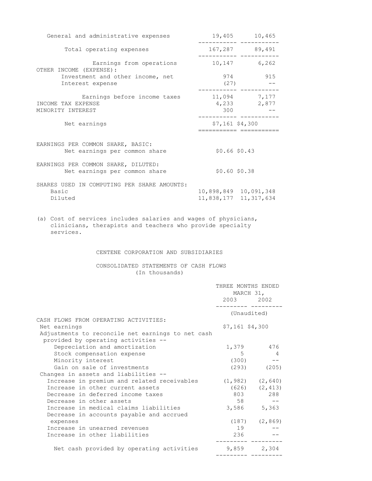| General and administrative expenses                                                                                                       | 19,405                | 10,465                                                               |  |
|-------------------------------------------------------------------------------------------------------------------------------------------|-----------------------|----------------------------------------------------------------------|--|
| Total operating expenses                                                                                                                  |                       | 167,287 89,491                                                       |  |
| Earnings from operations<br>OTHER INCOME (EXPENSE):                                                                                       |                       | .________ ____________<br>10,147 6,262                               |  |
| Investment and other income, net<br>Interest expense                                                                                      |                       | 974 915<br>(27)<br>$- -$                                             |  |
| Earnings before income taxes<br>INCOME TAX EXPENSE<br>MINORITY INTEREST                                                                   | $11,094$ 7,177<br>300 | --------- ------------<br>4,233 2,877<br>____________ ___________    |  |
| Net earnings                                                                                                                              |                       | $$7,161$ \$4,300<br>=======================                          |  |
| EARNINGS PER COMMON SHARE, BASIC:<br>Net earnings per common share                                                                        | \$0.66\$50.43         |                                                                      |  |
| EARNINGS PER COMMON SHARE, DILUTED:<br>Net earnings per common share                                                                      | \$0.60\$50.38         |                                                                      |  |
| SHARES USED IN COMPUTING PER SHARE AMOUNTS:<br>Basic<br>Diluted                                                                           |                       | 10,898,849 10,091,348<br>11,838,177 11,317,634                       |  |
| (a) Cost of services includes salaries and wages of physicians,<br>clinicians, therapists and teachers who provide specialty<br>services. |                       |                                                                      |  |
| CENTENE CORPORATION AND SUBSIDIARIES                                                                                                      |                       |                                                                      |  |
| CONSOLIDATED STATEMENTS OF CASH FLOWS<br>(In thousands)                                                                                   |                       |                                                                      |  |
|                                                                                                                                           |                       | THREE MONTHS ENDED<br>MARCH 31,<br>2003 2002<br>__________ _________ |  |
|                                                                                                                                           |                       | (Unaudited)                                                          |  |
| CASH FLOWS FROM OPERATING ACTIVITIES:<br>Net earnings                                                                                     | $57.161$ $54.300$     |                                                                      |  |

| CASH FLOWS FROM OPERATING ACTIVITIES:             |                   |                |
|---------------------------------------------------|-------------------|----------------|
| Net earnings                                      | $$7,161$ $$4,300$ |                |
| Adjustments to reconcile net earnings to net cash |                   |                |
| provided by operating activities --               |                   |                |
| Depreciation and amortization                     | 1,379             | 476            |
| Stock compensation expense                        | 5                 | $\overline{4}$ |
| Minority interest                                 | (300)             |                |
| Gain on sale of investments                       | (293)             | (205)          |
| Changes in assets and liabilities --              |                   |                |
| Increase in premium and related receivables       | (1, 982)          | (2, 640)       |
| Increase in other current assets                  | (626)             | (2, 413)       |
| Decrease in deferred income taxes                 | 803               | 288            |
| Decrease in other assets                          | 58                | --             |
| Increase in medical claims liabilities            | 3,586             | 5,363          |
| Decrease in accounts payable and accrued          |                   |                |
| expenses                                          | (187)             | (2, 869)       |
| Increase in unearned revenues                     | 19                |                |
| Increase in other liabilities                     | 236               |                |
| Net cash provided by operating activities         | 9,859             | 2,304          |

--------- ---------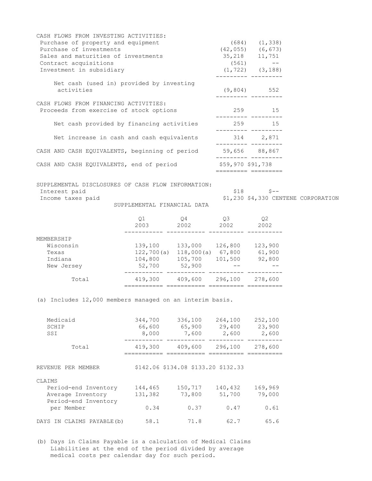| CASH FLOWS FROM INVESTING ACTIVITIES:<br>Purchase of property and equipment<br>Purchase of investments<br>Sales and maturities of investments<br>Contract acquisitions<br>Investment in subsidiary |                                                                                                                                  |                                                                                                                  |                   | $(684)$ $(1,338)$<br>$(42, 055)$ $(6, 673)$<br>35, 218 11, 751<br>$(561)$ --<br>$(1, 722)$ $(3, 188)$ |                                     |
|----------------------------------------------------------------------------------------------------------------------------------------------------------------------------------------------------|----------------------------------------------------------------------------------------------------------------------------------|------------------------------------------------------------------------------------------------------------------|-------------------|-------------------------------------------------------------------------------------------------------|-------------------------------------|
| Net cash (used in) provided by investing<br>activities                                                                                                                                             |                                                                                                                                  |                                                                                                                  |                   | $(9, 804)$ 552<br>__________ _________                                                                |                                     |
| CASH FLOWS FROM FINANCING ACTIVITIES:<br>Proceeds from exercise of stock options                                                                                                                   |                                                                                                                                  |                                                                                                                  |                   | 259 15                                                                                                |                                     |
| Net cash provided by financing activities                                                                                                                                                          |                                                                                                                                  |                                                                                                                  |                   | 259 15<br>__________ ________                                                                         |                                     |
| Net increase in cash and cash equivalents 314 2,871                                                                                                                                                |                                                                                                                                  |                                                                                                                  |                   | __________ _________                                                                                  |                                     |
| CASH AND CASH EQUIVALENTS, beginning of period 59,656 88,867                                                                                                                                       |                                                                                                                                  |                                                                                                                  |                   |                                                                                                       |                                     |
| CASH AND CASH EQUIVALENTS, end of period                                                                                                                                                           |                                                                                                                                  |                                                                                                                  | \$59,970 \$91,738 | ========== =========                                                                                  |                                     |
| SUPPLEMENTAL DISCLOSURES OF CASH FLOW INFORMATION:<br>Interest paid<br>Income taxes paid                                                                                                           | SUPPLEMENTAL FINANCIAL DATA                                                                                                      |                                                                                                                  |                   | $$18$ $$--$                                                                                           | \$1,230 \$4,330 CENTENE CORPORATION |
|                                                                                                                                                                                                    |                                                                                                                                  | $\begin{array}{cccc} \tt Q1 & \tt Q4 & \tt Q3 & \tt Q2 \\ \tt 2003 & \tt 2002 & \tt 2002 & \tt 2002 \end{array}$ |                   |                                                                                                       |                                     |
| MEMBERSHIP<br>Wisconsin<br>Texas<br>Indiana<br>New Jersey                                                                                                                                          | 139,100 133,000 126,800 123,900<br>122,700(a) 118,000(a) 67,800 61,900<br>104,800 105,700 101,500 92,800<br>$52,700$ $52,900$ -- |                                                                                                                  |                   |                                                                                                       |                                     |
| Total                                                                                                                                                                                              | 419,300 409,600 296,100 278,600                                                                                                  |                                                                                                                  |                   |                                                                                                       |                                     |
| (a) Includes 12,000 members managed on an interim basis.                                                                                                                                           |                                                                                                                                  |                                                                                                                  |                   |                                                                                                       |                                     |
| Medicaid<br>SCHIP<br>SSI                                                                                                                                                                           | 8,000                                                                                                                            | 344,700 336,100 264,100 252,100<br>$66,600$ $65,900$ $29,400$ $23,900$<br>7,600 2,600                            |                   | 2,600                                                                                                 |                                     |
| Total                                                                                                                                                                                              |                                                                                                                                  | 419,300 409,600 296,100                                                                                          |                   | 278,600                                                                                               |                                     |
| REVENUE PER MEMBER<br>CLAIMS                                                                                                                                                                       |                                                                                                                                  | \$142.06 \$134.08 \$133.20 \$132.33                                                                              |                   |                                                                                                       |                                     |

| 144,465 | 150,717 | 140,432 | 169,969 |
|---------|---------|---------|---------|
| 131,382 | 73,800  | 51,700  | 79,000  |
|         |         |         |         |
| 0.34    | 0.37    | 0.47    | 0.61    |
|         |         |         |         |
| 58.1    | 71.8    | 62.7    | 65.6    |
|         |         |         |         |

(b) Days in Claims Payable is a calculation of Medical Claims Liabilities at the end of the period divided by average medical costs per calendar day for such period.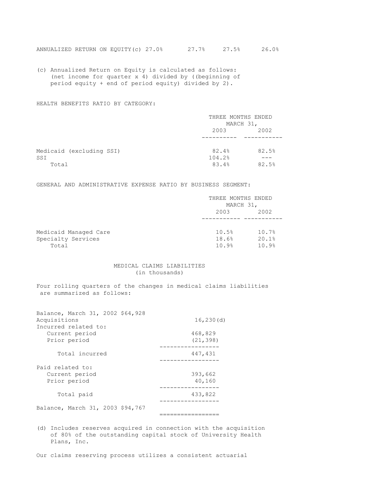(c) Annualized Return on Equity is calculated as follows: (net income for quarter x 4) divided by ((beginning of period equity + end of period equity) divided by 2).

#### HEALTH BENEFITS RATIO BY CATEGORY:

|                          | THREE MONTHS ENDED |       |
|--------------------------|--------------------|-------|
|                          | MARCH 31,          |       |
|                          | 2003               | 2002  |
|                          |                    |       |
| Medicaid (excluding SSI) | 82.4%              | 82.5% |
| SSI                      | 104.2%             |       |
| Total                    | 83.4%              | 82.5% |

GENERAL AND ADMINISTRATIVE EXPENSE RATIO BY BUSINESS SEGMENT:

|                       | THREE MONTHS ENDED |       |
|-----------------------|--------------------|-------|
|                       | MARCH 31,          |       |
|                       | 2003               | 2002  |
|                       |                    |       |
| Medicaid Managed Care | 10.5%              | 10.7% |
| Specialty Services    | 18.6%              | 20.1% |
| Total                 | 10.9%              | 10.9% |

#### MEDICAL CLAIMS LIABILITIES (in thousands)

Four rolling quarters of the changes in medical claims liabilities are summarized as follows:

| Balance, March 31, 2002 \$64,928 |            |
|----------------------------------|------------|
| Acquisitions                     | 16, 230(d) |
| Incurred related to:             |            |
| Current period                   | 468,829    |
| Prior period                     | (21, 398)  |
| Total incurred                   | 447,431    |
| Paid related to:                 |            |
| Current period                   | 393,662    |
| Prior period                     | 40,160     |
| Total paid                       | 433,822    |
|                                  |            |
| Balance, March 31, 2003 \$94,767 |            |
|                                  |            |

(d) Includes reserves acquired in connection with the acquisition of 80% of the outstanding capital stock of University Health Plans, Inc.

Our claims reserving process utilizes a consistent actuarial